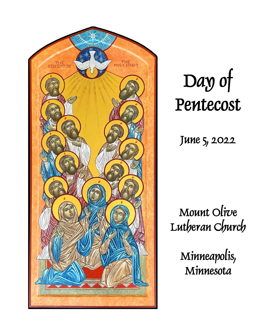

Day of Pentecost

June 5, 2022

Mount Olive Lutheran Church

> Minneapolis, **Minnesota**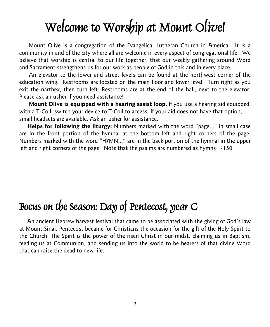# Welcome to Worship at Mount Olive!

Mount Olive is a congregation of the Evangelical Lutheran Church in America. It is a community in and of the city where all are welcome in every aspect of congregational life. We believe that worship is central to our life together, that our weekly gathering around Word and Sacrament strengthens us for our work as people of God in this and in every place.

An elevator to the lower and street levels can be found at the northwest corner of the education wing. Restrooms are located on the main floor and lower level. Turn right as you exit the narthex, then turn left. Restrooms are at the end of the hall, next to the elevator. Please ask an usher if you need assistance!

**Mount Olive is equipped with a hearing assist loop.** If you use a hearing aid equipped with a T-Coil, switch your device to T-Coil to access. If your aid does not have that option, small headsets are available. Ask an usher for assistance.

 **Helps for following the liturgy:** Numbers marked with the word "page..." in small case are in the front portion of the hymnal at the bottom left and right corners of the page. Numbers marked with the word "HYMN..." are in the back portion of the hymnal in the upper left and right corners of the page. Note that the psalms are numbered as hymns 1-150.

# Focus on the Season: Day of Pentecost, year C

 An ancient Hebrew harvest festival that came to be associated with the giving of God's law at Mount Sinai, Pentecost became for Christians the occasion for the gift of the Holy Spirit to the Church. The Spirit is the power of the risen Christ in our midst, claiming us in Baptism, feeding us at Communion, and sending us into the world to be bearers of that divine Word that can raise the dead to new life.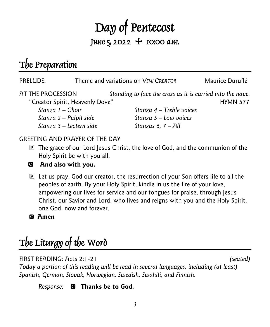# Day of Pentecost June  $5, 2022 + 10:00$  a.m.

# The Preparation

| PRELUDE:                        |  | Theme and variations on VENI CREATOR                       | Maurice Duruflé |
|---------------------------------|--|------------------------------------------------------------|-----------------|
| AT THE PROCESSION               |  | Standing to face the cross as it is carried into the nave. |                 |
| "Creator Spirit, Heavenly Dove" |  |                                                            | <b>HYMN 577</b> |
| Stanza I - Choir                |  | Stanza $4$ – Treble voices                                 |                 |
| Stanza 2 – Pulpit side          |  | Stanza $5 -$ Low voices                                    |                 |
| Stanza 3 - Lectern side         |  | Stanzas 6, $7 - All$                                       |                 |

#### GREETING AND PRAYER OF THE DAY

P The grace of our Lord Jesus Christ, the love of God, and the communion of the Holy Spirit be with you all.



#### C **And also with you.**

P Let us pray. God our creator, the resurrection of your Son offers life to all the peoples of earth. By your Holy Spirit, kindle in us the fire of your love, empowering our lives for service and our tongues for praise, through Jesus Christ, our Savior and Lord, who lives and reigns with you and the Holy Spirit, one God, now and forever.

C **Amen**

# The Liturgy of the Word

#### FIRST READING: Acts 2:1-21 *(seated)*

*Today a portion of this reading will be read in several languages, including (at least) Spanish, German, Slovak, Norwegian, Swedish, Swahili, and Finnish.*

*Response:* C **Thanks be to God.**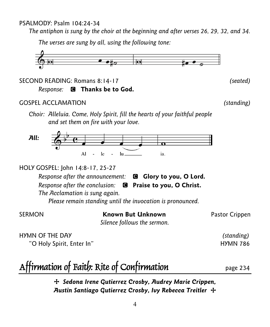#### PSALMODY: Psalm 104:24-34

*The antiphon is sung by the choir at the beginning and after verses 26, 29, 32, and 34.*

*The verses are sung by all, using the following tone:*



SECOND READING: Romans 8:14-17 *(seated) Response:* C **Thanks be to God.**

#### GOSPEL ACCLAMATION *(standing)*

*Choir: Alleluia. Come, Holy Spirit, fill the hearts of your faithful people and set them on fire with your love.*



HOLY GOSPEL: John 14:8-17, 25-27

*Response after the announcement:* C **Glory to you, O Lord.**

*Response after the conclusion:* C **Praise to you, O Christ.**

*The Acclamation is sung again. Please remain standing until the invocation is pronounced.*

SERMON **Known But Unknown** Pastor Crippen

*Silence follows the sermon.*

HYMN OF THE DAY *(standing)*  "O Holy Spirit, Enter In" North Control of the Holy HyMN 786

# Affirmation of Faith: Rite of Confirmation page 234

+ *Sedona Irene Gutierrez Crosby, Audrey Marie Crippen, Austin Santiago Gutierrez Crosby, Ivy Rebecca Treitler* +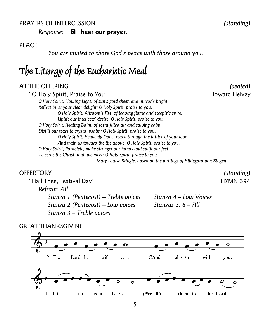#### PRAYERS OF INTERCESSION *(standing)*

*Response:* C **hear our prayer.**

#### **PEACE**

*You are invited to share God's peace with those around you.*

## The Liturgy of the Eucharistic Meal

#### AT THE OFFERING *(seated)*

| "O Holy Spirit, Praise to You                                         | Howard Helvey |
|-----------------------------------------------------------------------|---------------|
| O Holy Spirit, Flowing Light, of sun's gold sheen and mirror's bright |               |
| Reflect in us your clear delight: O Holy Spirit, praise to you.       |               |
| O Holy Spirit, Wisdom's Fire, of leaping flame and steeple's spire,   |               |
| Uplift our intellects' desire: O Holy Spirit, praise to you.          |               |
| O Holy Spirit, Healing Balm, of scent-filled air and salving calm,    |               |
| Distill our tears to crystal psalm: O Holy Spirit, praise to you.     |               |
| O Holy Spirit, Heavenly Dove, reach through the lattice of your love  |               |
| And train us toward the life above: O Holy Spirit, praise to you.     |               |
| O Holy Spirit, Paraclete, make stronger our hands and swift our feet  |               |
| To serve the Christ in all we meet: O Holy Spirit, praise to you.     |               |
| - Mary Louise Bringle, based on the writings of Hildegard von Bingen  |               |

#### OFFERTORY *(standing)*

"Hail Thee, Festival Day" Theory of the Second Hymn 394 *Refrain: All Stanza 1 (Pentecost) – Treble voices Stanza 4 – Low Voices Stanza 2 (Pentecost) – Low voices Stanzas 5, 6 – All Stanza 3 – Treble voices*



#### GREAT THANKSGIVING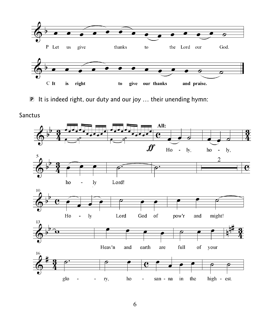

P It is indeed right, our duty and our joy … their unending hymn:

Sanctus

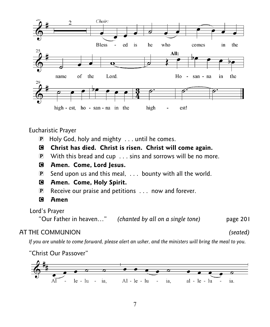

Eucharistic Prayer

P Holy God, holy and mighty . . . until he comes.

#### C **Christ has died. Christ is risen. Christ will come again.**

P With this bread and cup . . . sins and sorrows will be no more.

#### C **Amen. Come, Lord Jesus.**

- P Send upon us and this meal, . . . bounty with all the world.
- C **Amen. Come, Holy Spirit.**
- P Receive our praise and petitions . . . now and forever.
- C **Amen**

Lord's Prayer

"Our Father in heaven…" *(chanted by all on a single tone)* page 201

#### AT THE COMMUNION *(seated)*

*If you are unable to come forward, please alert an usher, and the ministers will bring the meal to you.* 

"Christ Our Passover"

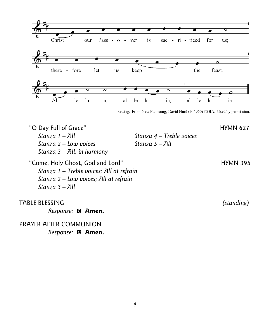

Setting: From New Plainsong; David Hurd (b. 1950) ©GIA. Used by permission.

"O Day Full of Grace" and the state of the HYMN 627 *Stanza 1 – All Stanza 4 – Treble voices Stanza 2 – Low voices Stanza 5 – All Stanza 3 – All, in harmony*

"Come, Holy Ghost, God and Lord" The Come of HYMN 395 *Stanza 1 – Treble voices; All at refrain Stanza 2 – Low voices; All at refrain Stanza 3 – All* 

TABLE BLESSING *(standing)*

*Response:* C **Amen.**

PRAYER AFTER COMMUNION *Response:* C **Amen.**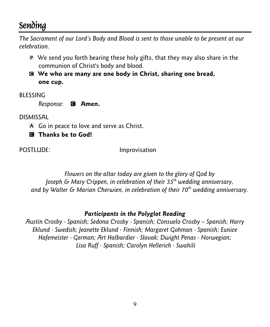### **Sending**

*The Sacrament of our Lord's Body and Blood is sent to those unable to be present at our celebration.* 

- P We send you forth bearing these holy gifts, that they may also share in the communion of Christ's body and blood.
- C **We who are many are one body in Christ, sharing one bread, one cup.**

BLESSING

*Response:* C **Amen.**

DISMISSAL

- A Go in peace to love and serve as Christ.
- C **Thanks be to God!**

POSTLUDE: Improvisation

*Flowers on the altar today are given to the glory of God by Joseph & Mary Crippen, in celebration of their 35th wedding anniversary, and by Walter & Marian Cherwien, in celebration of their 70th wedding anniversary.*

#### *Participants in the Polyglot Reading*

*Austin Crosby - Spanish; Sedona Crosby - Spanish; Consuelo Crosby – Spanish; Harry Eklund - Swedish; Jeanette Eklund - Finnish; Margaret Gohman - Spanish; Eunice Hafemeister - German; Art Halbardier - Slovak; Dwight Penas - Norwegian; Lisa Ruff - Spanish; Carolyn Hellerich - Swahili*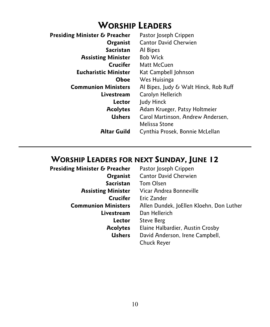### **WORSHIP LEADERS**

| Presiding Minister & Preacher | Pastor Joseph Crippen                 |
|-------------------------------|---------------------------------------|
| Organist                      | <b>Cantor David Cherwien</b>          |
| <b>Sacristan</b>              | Al Bipes                              |
| <b>Assisting Minister</b>     | <b>Bob Wick</b>                       |
| <b>Crucifer</b>               | Matt McCuen                           |
| <b>Eucharistic Minister</b>   | Kat Campbell Johnson                  |
| Oboe                          | Wes Huisinga                          |
| <b>Communion Ministers</b>    | Al Bipes, Judy & Walt Hinck, Rob Ruff |
| Livestream                    | Carolyn Hellerich                     |
| Lector                        | Judy Hinck                            |
| <b>Acolytes</b>               | Adam Krueger, Patsy Holtmeier         |
| <b>Ushers</b>                 | Carol Martinson, Andrew Andersen,     |
|                               | Melissa Stone                         |
| <b>Altar Guild</b>            | Cynthia Prosek, Bonnie McLellan       |
|                               |                                       |

# **WORSHIP LEADERS FOR NEXT SUNDAY, JUNE 12**<br>**Presiding Minister & Preacher** Pastor Joseph Crippen

| residing Minister & Preacher | Pastor Joseph Crippen                    |
|------------------------------|------------------------------------------|
| Organist                     | <b>Cantor David Cherwien</b>             |
| <b>Sacristan</b>             | Tom Olsen                                |
| <b>Assisting Minister</b>    | Vicar Andrea Bonneville                  |
| Crucifer                     | Eric Zander                              |
| <b>Communion Ministers</b>   | Allen Dundek, JoEllen Kloehn, Don Luther |
| Livestream                   | Dan Hellerich                            |
| Lector                       | Steve Berg                               |
| <b>Acolytes</b>              | Elaine Halbardier, Austin Crosby         |
| Ushers                       | David Anderson, Irene Campbell,          |
|                              | Chuck Reyer                              |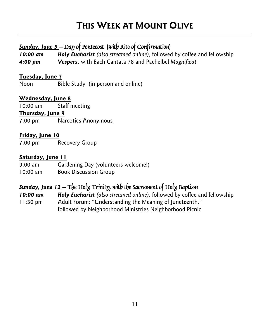### **THIS WEEK AT MOUNT OLIVE**

#### *Sunday, June 5* – Day of Pentecost (with Rite of Confirmation)

*10:00 am Holy Eucharist (also streamed online),* followed by coffee and fellowship *4:00 pm Vespers,* with Bach Cantata 78 and Pachelbel *Magnificat*

#### **Tuesday, June 7**

Noon Bible Study (in person and online)

#### **Wednesday, June 8**

10:00 am Staff meeting

#### **Thursday, June 9**

7:00 pm Narcotics Anonymous

#### **Friday, June 10**

7:00 pm Recovery Group

#### **Saturday, June 11**

9:00 am Gardening Day (volunteers welcome!) 10:00 am Book Discussion Group

### *Sunday, June 12* – The Holy Trinity, with the Sacrament of Holy Baptism

*10:00 am Holy Eucharist (also streamed online),* followed by coffee and fellowship

11:30 pm Adult Forum: "Understanding the Meaning of Juneteenth," followed by Neighborhood Ministries Neighborhood Picnic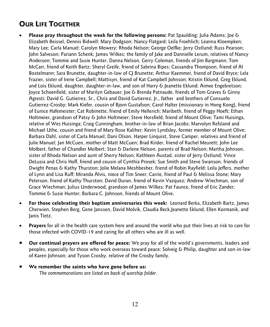#### **OUR LIFE TOGETHER**

- **Please pray throughout the week for the following persons:** Pat Spaulding; Julia Adams; Joe & Elizabeth Beissel, Dennis Bidwell; Mary Dodgson; Nancy Flatgard; Leila Froehlich; Leanna Kloempken; Mary Lee; Carla Manuel; Carolyn Mowery; Rhoda Nelson; George Oelfke; Jerry Ostlund; Russ Pearson; John Salveson; Pariann Schenk; James Wilkes; the family of Jake and Dannielle Lerum, relatives of Nancy Anderson; Tommie and Susie Hunter, Danna Nelson, Gerry Coleman, friends of Jim Bargmann; Tom McCarr, friend of Keith Bartz; Sheryl Greife, friend of Sabrina Bipes; Cassandra Thompson, friend of Al Bostelmann; Sara Brunette, daughter-in-law of CJ Brunette; Arthur Kaemmer, friend of David Bryce; Lela Frazier, sister of Irene Campbell; Mattisyn, friend of Kat Campbell Johnson; Kristin Eklund, Greg Eklund, and Lois Eklund, daughter, daughter-in-law, and son of Harry & Jeanette Eklund; Aimee Engebretson; Joyce Schoenfield, sister of Marilyn Gebauer; Joe & Brenda Patnaude, friends of Tom Graves & Ginny Agresti; David G. Gutierrez, Sr., Chris and David Gutierrez, Jr., father and brothers of Consuelo Gutierrez-Crosby; Mark Kiefer, cousin of Bjorn Gustafson; Carol Halter (missionary in Hong Kong), friend of Eunice Hafemeister; Cat Robinette, friend of Emily Hellerich; Maribeth, friend of Peggy Hoeft; Ethan Holtmeier, grandson of Patsy & John Holtmeier; Steve Horsfield, friend of Mount Olive; Tami Huisinga, relative of Wes Huisinga; Craig Cunningham, brother-in-law of Brian Jacobs; Marvolyn Refsland and Michael Uthe, cousin and friend of Mary Rose Kaliher; Kevin Lyndsley, former member of Mount Olive; Barbara Dahl, sister of Carla Manuel; Dani Olson, Harper Linquist, Steve Camper, relatives and friend of Julie Manuel; Jan McCuen, mother of Matt McCuen; Brad Krider, friend of Rachel Meurett; John Lee Molbert, father of Chandler Molbert; Stan & Darlene Nelson, parents of Brad Nelson; Martha Johnson, sister of Rhoda Nelson and aunt of Sherry Nelson; Kathleen Austad, sister of Jerry Ostlund; Vince DeLusia and Chris Hoff, friend and cousin of Cynthia Prosek; Sue Smith and Steve Swanson, friends of Dwight Penas & Kathy Thurston; Jolie Melana Meshbesher, friend of Robin Rayfield; Leila Jeffers, mother of Lynn and Lisa Ruff; Miranda Alvis, niece of Tim Sneer; Carrie, friend of Paul & Melissa Stone; Mary Peterson, friend of Kathy Thurston; David Duran, friend of Kevin Vazquez; Andrew Wiechman, son of Grace Wiechman; Julius Underwood, grandson of James Wilkes; Pat Faunce, friend of Eric Zander; Tommie & Susie Hunter; Barbara C. Johnson, friends of Mount Olive.
- **For those celebrating their baptism anniversaries this week:** Leonard Berka, Elizabeth Bartz, James Cherwien, Stephen Berg, Gene Janssen, David Molvik, Claudia Beck,Jeanette Eklund, Ellen Kormanik, and Janis Tietz.
- **Prayers** for all in the health care system here and around the world who put their lives at risk to care for those infected with COVID-19 and caring for all others who are ill as well.
- **Our continual prayers are offered for peace:** We pray for all of the world's governments, leaders and peoples, especially for those who work overseas toward peace: Solveig & Philip, daughter and son-in-law of Karen Johnson; and Tyson Crosby, relative of the Crosby family.
- **We remember the saints who have gone before us:**  *The commemorations are listed on back of worship folder.*